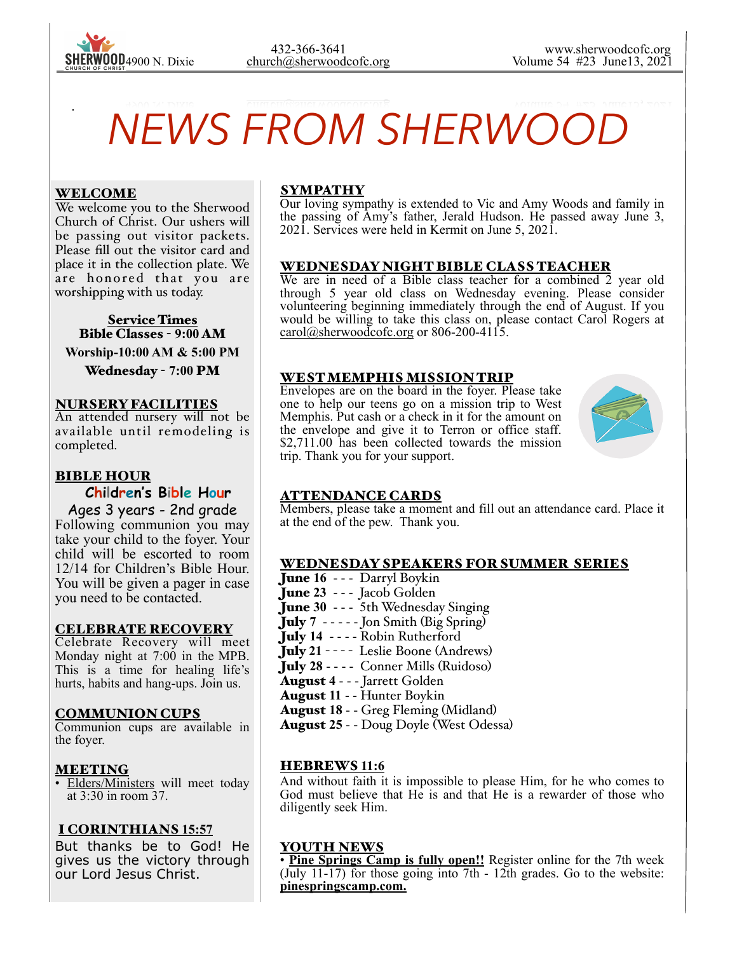

# *NEWS FROM SHERWOOD*

#### WELCOME

 $\overline{\phantom{a}}$ 

We welcome you to the Sherwood Church of Christ. Our ushers will be passing out visitor packets. Please fill out the visitor card and place it in the collection plate. We are honored that you are worshipping with us today.

#### Service Times Bible Classes - **9:00** AM

**Worship-10:00 AM & 5:00 PM** 

Wednesday - **7:00** PM

#### NURSERY FACILITIES

An attended nursery will not be available until remodeling is completed.

# BIBLE HOUR

#### **Children's Bible Hour**

Ages 3 years - 2nd grade Following communion you may take your child to the foyer. Your child will be escorted to room 12/14 for Children's Bible Hour. You will be given a pager in case you need to be contacted.

## CELEBRATE RECOVERY

Celebrate Recovery will meet Monday night at 7:00 in the MPB. This is a time for healing life's hurts, habits and hang-ups. Join us.

#### COMMUNION CUPS

Communion cups are available in the foyer.

## MEETING

• Elders/Ministers will meet today at 3:30 in room 37.

#### I CORINTHIANS **15:57**

But thanks be to God! He gives us the victory through our Lord Jesus Christ.

# SYMPATHY

Our loving sympathy is extended to Vic and Amy Woods and family in the passing of Amy's father, Jerald Hudson. He passed away June 3, 2021. Services were held in Kermit on June 5, 2021.

#### WEDNESDAY NIGHT BIBLE CLASS TEACHER

We are in need of a Bible class teacher for a combined 2 year old through 5 year old class on Wednesday evening. Please consider volunteering beginning immediately through the end of August. If you would be willing to take this class on, please contact Carol Rogers at [carol@sherwoodcofc.org](mailto:carol@sherwoodcofc.org) or 806-200-4115.

## WEST MEMPHIS MISSION TRIP

Envelopes are on the board in the foyer. Please take one to help our teens go on a mission trip to West Memphis. Put cash or a check in it for the amount on the envelope and give it to Terron or office staff. \$2,711.00 has been collected towards the mission trip. Thank you for your support.



## ATTENDANCE CARDS

Members, please take a moment and fill out an attendance card. Place it at the end of the pew. Thank you.

## WEDNESDAY SPEAKERS FOR SUMMER SERIES

- June 16 - Darryl Boykin
- June **23**  - Jacob Golden
- June 30 --- 5th Wednesday Singing
- July **7**  - - Jon Smith (Big Spring)
- July **14** - - Robin Rutherford
- **July 21** - - Leslie Boone (Andrews)
- July 28 - - Conner Mills (Ruidoso)
- August **4** - Jarrett Golden
- August **11** - Hunter Boykin
- August **18** - Greg Fleming (Midland)
- August **25**  - Doug Doyle (West Odessa)

## HEBREWS **11:6**

And without faith it is impossible to please Him, for he who comes to God must believe that He is and that He is a rewarder of those who diligently seek Him.

#### YOUTH NEWS

• **Pine Springs Camp is fully open!!** Register online for the 7th week (July 11-17) for those going into 7th - 12th grades. Go to the website: **pinespringscamp.com.**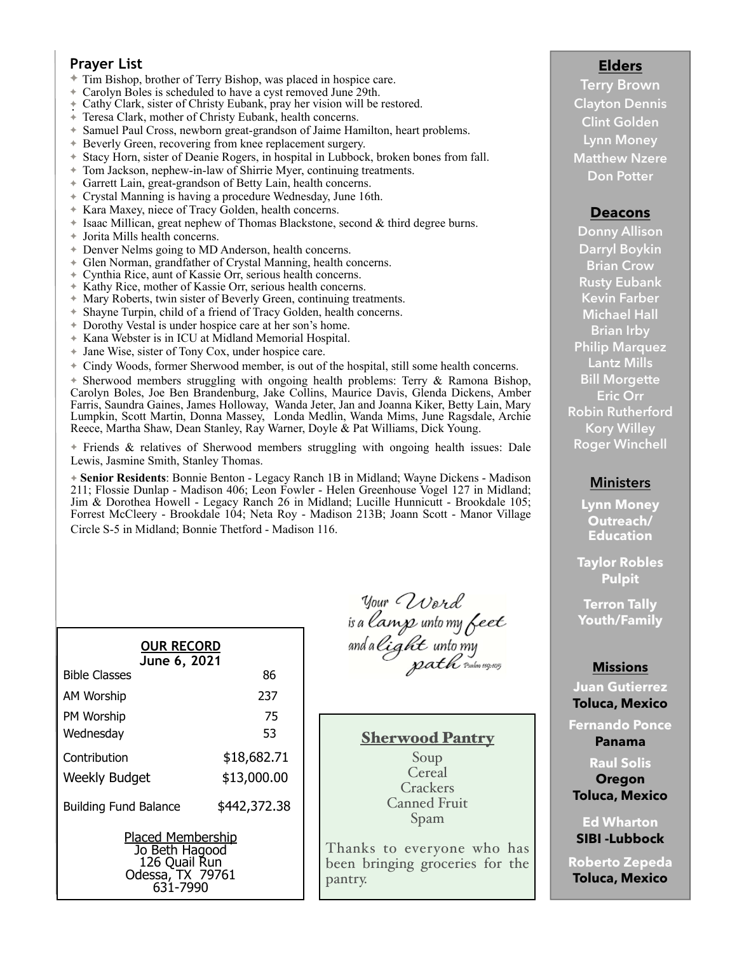# **Prayer List**

- ✦ Tim Bishop, brother of Terry Bishop, was placed in hospice care.
- ✦ Carolyn Boles is scheduled to have a cyst removed June 29th.
- Cathy Clark, sister of Christy Eubank, pray her vision will be restored.
- ✦ Teresa Clark, mother of Christy Eubank, health concerns.
- ✦ Samuel Paul Cross, newborn great-grandson of Jaime Hamilton, heart problems.
- ✦ Beverly Green, recovering from knee replacement surgery.
- ✦ Stacy Horn, sister of Deanie Rogers, in hospital in Lubbock, broken bones from fall.
- ✦ Tom Jackson, nephew-in-law of Shirrie Myer, continuing treatments.
- Garrett Lain, great-grandson of Betty Lain, health concerns.
- ✦ Crystal Manning is having a procedure Wednesday, June 16th.
- ✦ Kara Maxey, niece of Tracy Golden, health concerns.
- ✦ Isaac Millican, great nephew of Thomas Blackstone, second & third degree burns.
- ✦ Jorita Mills health concerns.
- ✦ Denver Nelms going to MD Anderson, health concerns.
- ✦ Glen Norman, grandfather of Crystal Manning, health concerns.
- ✦ Cynthia Rice, aunt of Kassie Orr, serious health concerns.
- ✦ Kathy Rice, mother of Kassie Orr, serious health concerns.
- ✦ Mary Roberts, twin sister of Beverly Green, continuing treatments.
- ✦ Shayne Turpin, child of a friend of Tracy Golden, health concerns.
- ✦ Dorothy Vestal is under hospice care at her son's home.
- ✦ Kana Webster is in ICU at Midland Memorial Hospital.
- ✦ Jane Wise, sister of Tony Cox, under hospice care.
- ✦ Cindy Woods, former Sherwood member, is out of the hospital, still some health concerns.

✦ Sherwood members struggling with ongoing health problems: Terry & Ramona Bishop, Carolyn Boles, Joe Ben Brandenburg, Jake Collins, Maurice Davis, Glenda Dickens, Amber Farris, Saundra Gaines, James Holloway, Wanda Jeter, Jan and Joanna Kiker, Betty Lain, Mary Lumpkin, Scott Martin, Donna Massey, Londa Medlin, Wanda Mims, June Ragsdale, Archie Reece, Martha Shaw, Dean Stanley, Ray Warner, Doyle & Pat Williams, Dick Young.

✦ Friends & relatives of Sherwood members struggling with ongoing health issues: Dale Lewis, Jasmine Smith, Stanley Thomas.

 ✦ **Senior Residents**: Bonnie Benton - Legacy Ranch 1B in Midland; Wayne Dickens - Madison 211; Flossie Dunlap - Madison 406; Leon Fowler - Helen Greenhouse Vogel 127 in Midland; Jim & Dorothea Howell - Legacy Ranch 26 in Midland; Lucille Hunnicutt - Brookdale 105; Forrest McCleery - Brookdale 104; Neta Roy - Madison 213B; Joann Scott - Manor Village Circle S-5 in Midland; Bonnie Thetford - Madison 116.

| <b>OUR RECORD</b><br>June 6, 2021                                                           |                            |
|---------------------------------------------------------------------------------------------|----------------------------|
| Bible Classes                                                                               | 86                         |
| AM Worship                                                                                  | 237                        |
| PM Worship<br>Wednesday                                                                     | 75<br>53                   |
| Contribution<br>Weekly Budget                                                               | \$18,682.71<br>\$13,000.00 |
| <b>Building Fund Balance</b>                                                                | \$442,372.38               |
| <b>Placed Membership</b><br>Jo Beth Hagood<br>126 Quail Run<br>Odessa, TX 79761<br>631-7990 |                            |

Your Word<br>is a lams yunto my feet<br>and a light unto my<br>path rulm ugus

## Sherwood Pantry

Soup Cereal **Crackers** Canned Fruit Spam

Thanks to everyone who has been bringing groceries for the pantry.

# **Elders**

**Terry Brown Clayton Dennis Clint Golden Lynn Money Matthew Nzere Don Potter** 

# **Deacons**

**Donny Allison Darryl Boykin Brian Crow Rusty Eubank Kevin Farber Michael Hall Brian Irby Philip Marquez Lantz Mills Bill Morgette Eric Orr Robin Rutherford Kory Willey Roger Winchell** 

## **Ministers**

**Lynn Money Outreach/ Education** 

**Taylor Robles Pulpit** 

**Terron Tally Youth/Family** 

## **Missions**

**Juan Gutierrez Toluca, Mexico** 

**Fernando Ponce Panama** 

**Raul Solis Oregon Toluca, Mexico**

**Ed Wharton SIBI -Lubbock** 

**Roberto Zepeda Toluca, Mexico**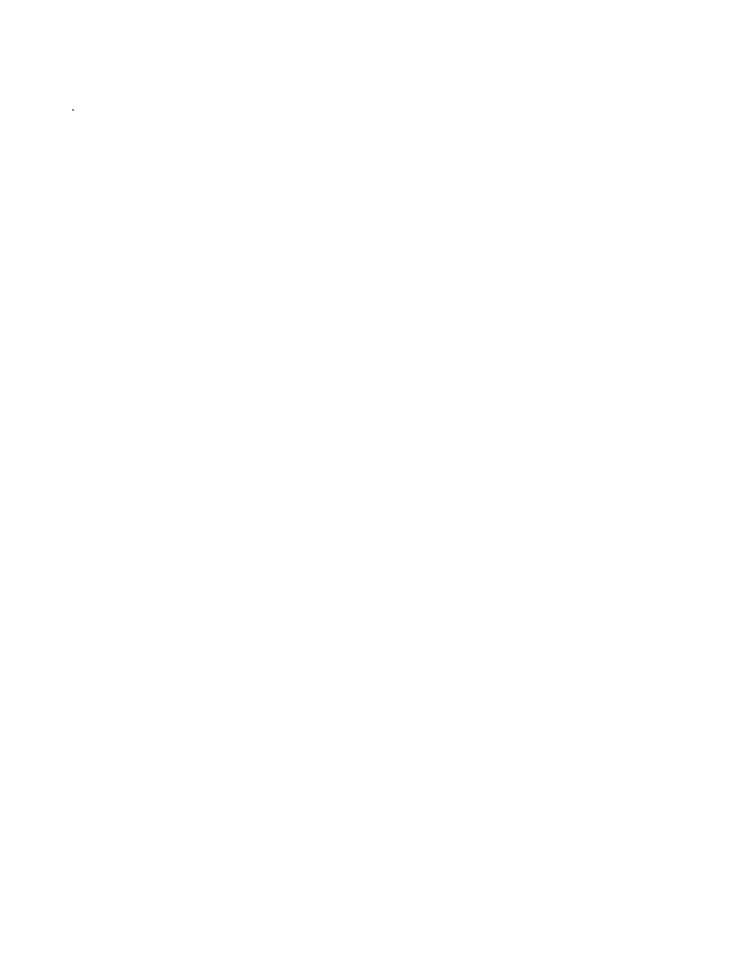$\mathcal{L}^{\text{max}}_{\text{max}}$  and  $\mathcal{L}^{\text{max}}_{\text{max}}$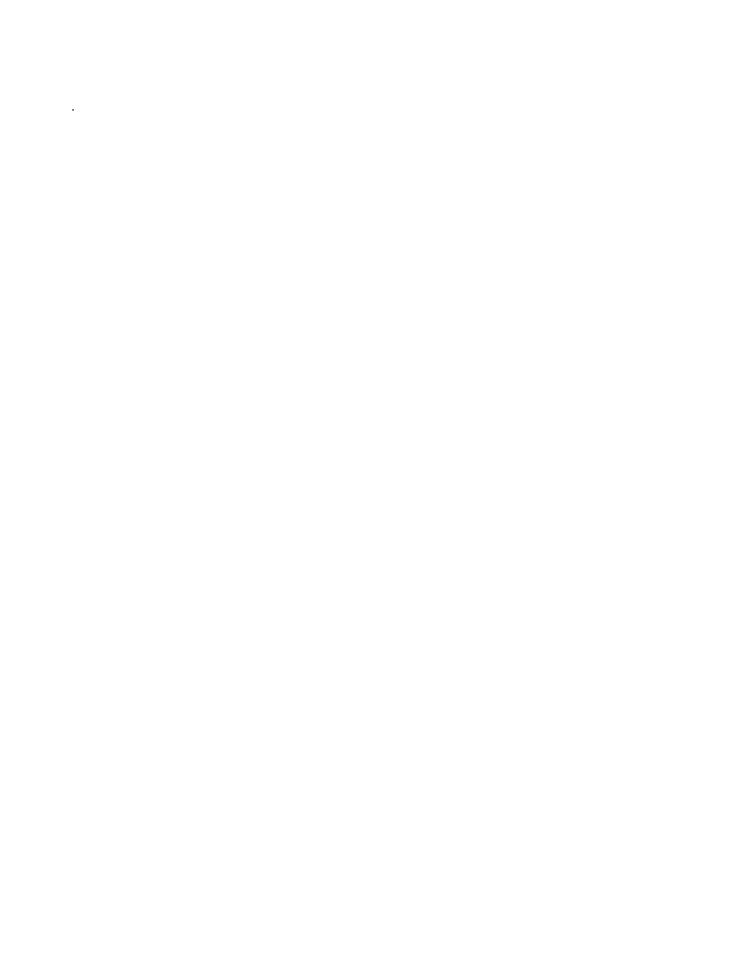$\mathcal{L}^{\text{max}}_{\text{max}}$  and  $\mathcal{L}^{\text{max}}_{\text{max}}$